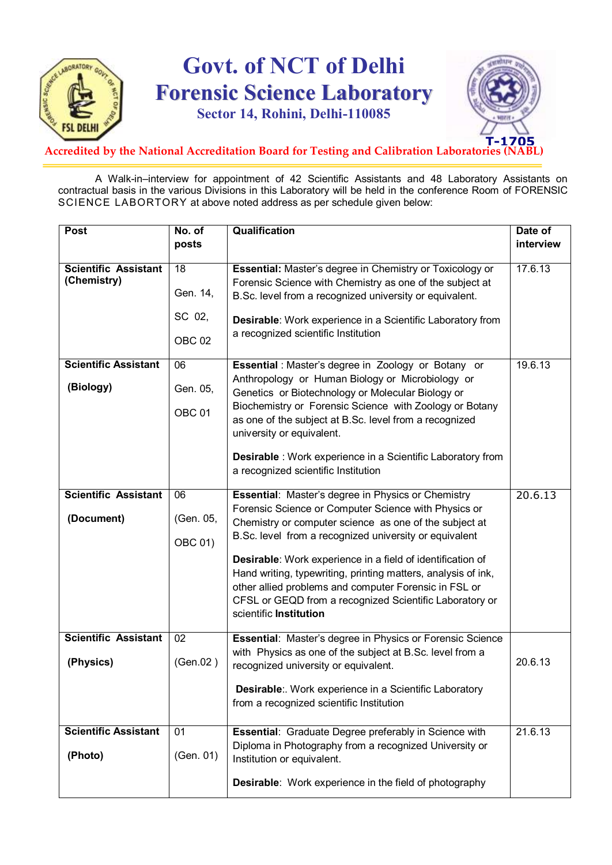

# **Govt. of NCT of Delhi Forensic Science Laboratory**

**Sector 14, Rohini, Delhi-110085**



### Accredited by the National Accreditation Board for Testing and Calibration Laboratories (

A Walk-in–interview for appointment of 42 Scientific Assistants and 48 Laboratory Assistants on contractual basis in the various Divisions in this Laboratory will be held in the conference Room of FORENSIC SCIENCE LABORTORY at above noted address as per schedule given below:

| Post                        | No. of            | <b>Qualification</b>                                                                              | Date of   |
|-----------------------------|-------------------|---------------------------------------------------------------------------------------------------|-----------|
|                             | posts             |                                                                                                   | interview |
|                             |                   |                                                                                                   |           |
| <b>Scientific Assistant</b> | 18                | Essential: Master's degree in Chemistry or Toxicology or                                          | 17.6.13   |
| (Chemistry)                 |                   | Forensic Science with Chemistry as one of the subject at                                          |           |
|                             | Gen. 14,          | B.Sc. level from a recognized university or equivalent.                                           |           |
|                             | SC 02,            | Desirable: Work experience in a Scientific Laboratory from<br>a recognized scientific Institution |           |
|                             | OBC <sub>02</sub> |                                                                                                   |           |
| <b>Scientific Assistant</b> | 06                | Essential : Master's degree in Zoology or Botany or                                               | 19.6.13   |
|                             |                   | Anthropology or Human Biology or Microbiology or                                                  |           |
| (Biology)                   | Gen. 05,          | Genetics or Biotechnology or Molecular Biology or                                                 |           |
|                             | OBC <sub>01</sub> | Biochemistry or Forensic Science with Zoology or Botany                                           |           |
|                             |                   | as one of the subject at B.Sc. level from a recognized                                            |           |
|                             |                   | university or equivalent.                                                                         |           |
|                             |                   | <b>Desirable</b> : Work experience in a Scientific Laboratory from                                |           |
|                             |                   | a recognized scientific Institution                                                               |           |
|                             |                   |                                                                                                   |           |
| <b>Scientific Assistant</b> | 06                | Essential: Master's degree in Physics or Chemistry                                                | 20.6.13   |
|                             |                   | Forensic Science or Computer Science with Physics or                                              |           |
| (Document)                  | (Gen. 05,         | Chemistry or computer science as one of the subject at                                            |           |
|                             | OBC 01)           | B.Sc. level from a recognized university or equivalent                                            |           |
|                             |                   | Desirable: Work experience in a field of identification of                                        |           |
|                             |                   | Hand writing, typewriting, printing matters, analysis of ink,                                     |           |
|                             |                   | other allied problems and computer Forensic in FSL or                                             |           |
|                             |                   | CFSL or GEQD from a recognized Scientific Laboratory or                                           |           |
|                             |                   | scientific <b>Institution</b>                                                                     |           |
|                             |                   |                                                                                                   |           |
| <b>Scientific Assistant</b> | 02                | Essential: Master's degree in Physics or Forensic Science                                         |           |
|                             |                   | with Physics as one of the subject at B.Sc. level from a                                          |           |
| (Physics)                   | (Gen.02)          | recognized university or equivalent.                                                              | 20.6.13   |
|                             |                   | Desirable:. Work experience in a Scientific Laboratory                                            |           |
|                             |                   |                                                                                                   |           |
|                             |                   | from a recognized scientific Institution                                                          |           |
| <b>Scientific Assistant</b> | 01                | <b>Essential:</b> Graduate Degree preferably in Science with                                      | 21.6.13   |
|                             |                   | Diploma in Photography from a recognized University or                                            |           |
| (Photo)                     | (Gen. 01)         | Institution or equivalent.                                                                        |           |
|                             |                   |                                                                                                   |           |
|                             |                   | <b>Desirable:</b> Work experience in the field of photography                                     |           |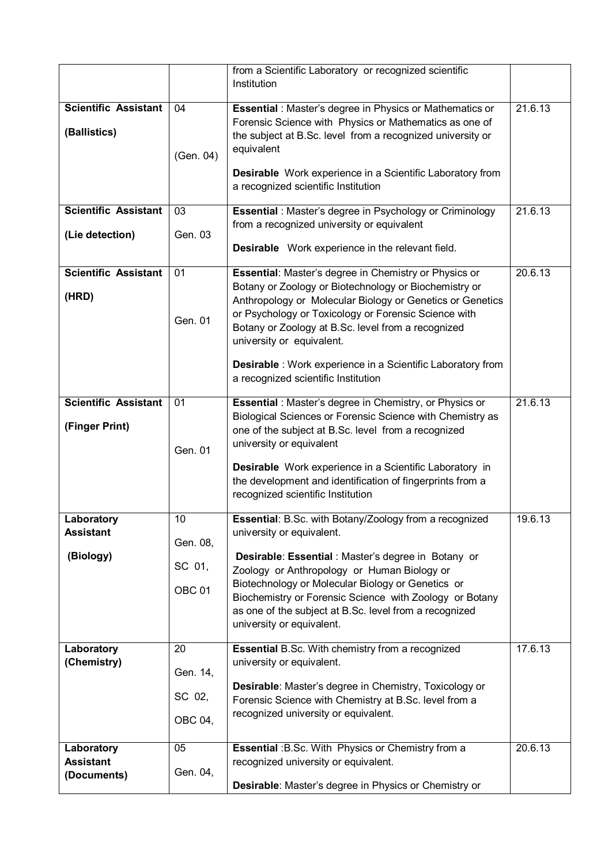|                                   |                   | from a Scientific Laboratory or recognized scientific<br>Institution                                               |         |
|-----------------------------------|-------------------|--------------------------------------------------------------------------------------------------------------------|---------|
| <b>Scientific Assistant</b>       | 04                | <b>Essential</b> : Master's degree in Physics or Mathematics or                                                    | 21.6.13 |
| (Ballistics)                      |                   | Forensic Science with Physics or Mathematics as one of                                                             |         |
|                                   |                   | the subject at B.Sc. level from a recognized university or                                                         |         |
|                                   | (Gen. 04)         | equivalent                                                                                                         |         |
|                                   |                   | <b>Desirable</b> Work experience in a Scientific Laboratory from                                                   |         |
|                                   |                   | a recognized scientific Institution                                                                                |         |
| <b>Scientific Assistant</b>       | 03                | <b>Essential</b> : Master's degree in Psychology or Criminology                                                    | 21.6.13 |
|                                   |                   | from a recognized university or equivalent                                                                         |         |
| (Lie detection)                   | Gen. 03           | <b>Desirable</b> Work experience in the relevant field.                                                            |         |
|                                   |                   |                                                                                                                    |         |
| <b>Scientific Assistant</b>       | 01                | Essential: Master's degree in Chemistry or Physics or                                                              | 20.6.13 |
| (HRD)                             |                   | Botany or Zoology or Biotechnology or Biochemistry or<br>Anthropology or Molecular Biology or Genetics or Genetics |         |
|                                   |                   | or Psychology or Toxicology or Forensic Science with                                                               |         |
|                                   | Gen. 01           | Botany or Zoology at B.Sc. level from a recognized                                                                 |         |
|                                   |                   | university or equivalent.                                                                                          |         |
|                                   |                   | <b>Desirable</b> : Work experience in a Scientific Laboratory from                                                 |         |
|                                   |                   | a recognized scientific Institution                                                                                |         |
| <b>Scientific Assistant</b><br>01 |                   | <b>Essential</b> : Master's degree in Chemistry, or Physics or                                                     | 21.6.13 |
|                                   |                   | Biological Sciences or Forensic Science with Chemistry as                                                          |         |
| (Finger Print)                    |                   | one of the subject at B.Sc. level from a recognized                                                                |         |
|                                   | Gen. 01           | university or equivalent                                                                                           |         |
|                                   |                   | Desirable Work experience in a Scientific Laboratory in                                                            |         |
|                                   |                   | the development and identification of fingerprints from a                                                          |         |
|                                   |                   | recognized scientific Institution                                                                                  |         |
| Laboratory                        | 10                | Essential: B.Sc. with Botany/Zoology from a recognized                                                             | 19.6.13 |
| <b>Assistant</b>                  |                   | university or equivalent.                                                                                          |         |
| (Biology)                         | Gen. 08,          | Desirable: Essential : Master's degree in Botany or                                                                |         |
|                                   | SC 01,            | Zoology or Anthropology or Human Biology or                                                                        |         |
|                                   | OBC <sub>01</sub> | Biotechnology or Molecular Biology or Genetics or                                                                  |         |
|                                   |                   | Biochemistry or Forensic Science with Zoology or Botany                                                            |         |
|                                   |                   | as one of the subject at B.Sc. level from a recognized<br>university or equivalent.                                |         |
|                                   |                   |                                                                                                                    |         |
| Laboratory                        | 20                | <b>Essential B.Sc. With chemistry from a recognized</b>                                                            | 17.6.13 |
| (Chemistry)                       | Gen. 14,          | university or equivalent.                                                                                          |         |
|                                   |                   | Desirable: Master's degree in Chemistry, Toxicology or                                                             |         |
|                                   | SC 02,            | Forensic Science with Chemistry at B.Sc. level from a                                                              |         |
|                                   | OBC 04,           | recognized university or equivalent.                                                                               |         |
| Laboratory                        | 05                | <b>Essential : B.Sc. With Physics or Chemistry from a</b>                                                          | 20.6.13 |
| <b>Assistant</b>                  |                   | recognized university or equivalent.                                                                               |         |
| (Documents)                       | Gen. 04,          |                                                                                                                    |         |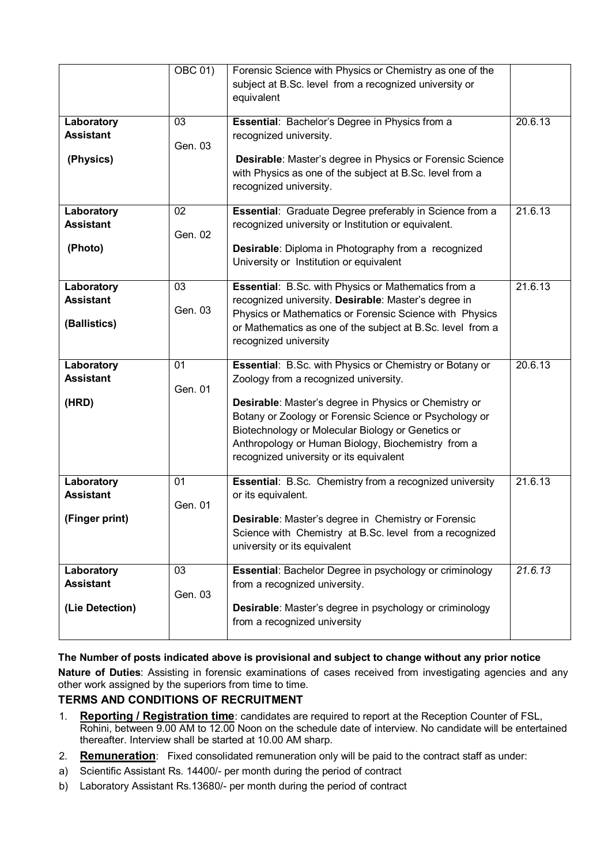|                                | <b>OBC 01)</b> | Forensic Science with Physics or Chemistry as one of the                                                                                                                                                                                                              |         |
|--------------------------------|----------------|-----------------------------------------------------------------------------------------------------------------------------------------------------------------------------------------------------------------------------------------------------------------------|---------|
|                                |                | subject at B.Sc. level from a recognized university or<br>equivalent                                                                                                                                                                                                  |         |
| Laboratory                     | 03             | Essential: Bachelor's Degree in Physics from a                                                                                                                                                                                                                        | 20.6.13 |
| <b>Assistant</b>               | Gen. 03        | recognized university.                                                                                                                                                                                                                                                |         |
| (Physics)                      |                | Desirable: Master's degree in Physics or Forensic Science<br>with Physics as one of the subject at B.Sc. level from a<br>recognized university.                                                                                                                       |         |
| Laboratory                     | 02             | Essential: Graduate Degree preferably in Science from a                                                                                                                                                                                                               | 21.6.13 |
| <b>Assistant</b>               | Gen. 02        | recognized university or Institution or equivalent.                                                                                                                                                                                                                   |         |
| (Photo)                        |                | Desirable: Diploma in Photography from a recognized<br>University or Institution or equivalent                                                                                                                                                                        |         |
| Laboratory                     | 03             | Essential: B.Sc. with Physics or Mathematics from a                                                                                                                                                                                                                   | 21.6.13 |
| <b>Assistant</b>               | Gen. 03        | recognized university. Desirable: Master's degree in                                                                                                                                                                                                                  |         |
| (Ballistics)                   |                | Physics or Mathematics or Forensic Science with Physics<br>or Mathematics as one of the subject at B.Sc. level from a<br>recognized university                                                                                                                        |         |
| Laboratory                     | 01             | Essential: B.Sc. with Physics or Chemistry or Botany or                                                                                                                                                                                                               | 20.6.13 |
| <b>Assistant</b>               | Gen. 01        | Zoology from a recognized university.                                                                                                                                                                                                                                 |         |
| (HRD)                          |                | Desirable: Master's degree in Physics or Chemistry or<br>Botany or Zoology or Forensic Science or Psychology or<br>Biotechnology or Molecular Biology or Genetics or<br>Anthropology or Human Biology, Biochemistry from a<br>recognized university or its equivalent |         |
| Laboratory<br><b>Assistant</b> | 01             | <b>Essential: B.Sc. Chemistry from a recognized university</b><br>or its equivalent.                                                                                                                                                                                  | 21.6.13 |
|                                | Gen. 01        |                                                                                                                                                                                                                                                                       |         |
| (Finger print)                 |                | <b>Desirable:</b> Master's degree in Chemistry or Forensic<br>Science with Chemistry at B.Sc. level from a recognized<br>university or its equivalent                                                                                                                 |         |
| Laboratory                     | 03             | <b>Essential: Bachelor Degree in psychology or criminology</b>                                                                                                                                                                                                        | 21.6.13 |
| <b>Assistant</b>               | Gen. 03        | from a recognized university.                                                                                                                                                                                                                                         |         |
| (Lie Detection)                |                | Desirable: Master's degree in psychology or criminology<br>from a recognized university                                                                                                                                                                               |         |

#### **The Number of posts indicated above is provisional and subject to change without any prior notice**

**Nature of Duties**: Assisting in forensic examinations of cases received from investigating agencies and any other work assigned by the superiors from time to time.

#### **TERMS AND CONDITIONS OF RECRUITMENT**

- 1. **Reporting / Registration time**: candidates are required to report at the Reception Counter of FSL, Rohini, between 9.00 AM to 12.00 Noon on the schedule date of interview. No candidate will be entertained thereafter. Interview shall be started at 10.00 AM sharp.
- 2. **Remuneration**: Fixed consolidated remuneration only will be paid to the contract staff as under:
- a) Scientific Assistant Rs. 14400/- per month during the period of contract
- b) Laboratory Assistant Rs.13680/- per month during the period of contract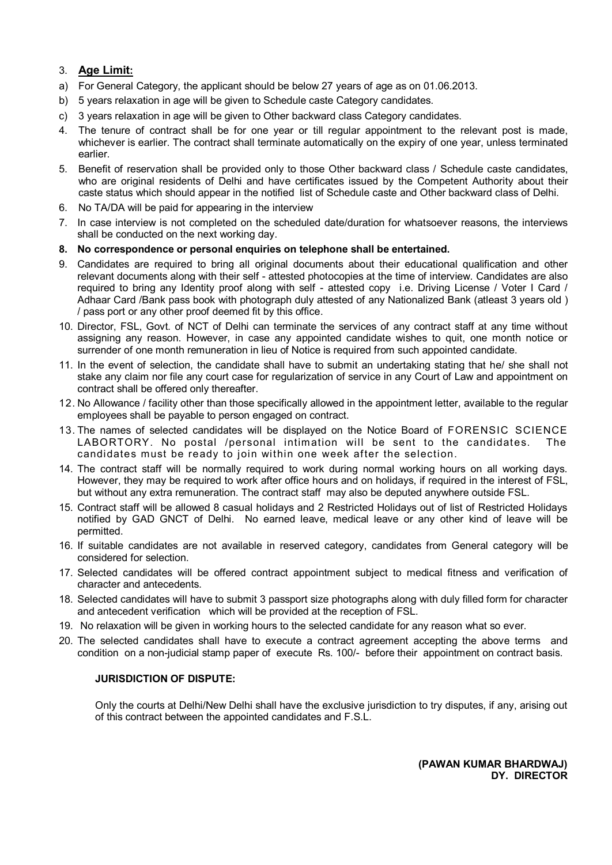#### 3. **Age Limit:**

- a) For General Category, the applicant should be below 27 years of age as on 01.06.2013.
- b) 5 years relaxation in age will be given to Schedule caste Category candidates.
- c) 3 years relaxation in age will be given to Other backward class Category candidates.
- 4. The tenure of contract shall be for one year or till regular appointment to the relevant post is made, whichever is earlier. The contract shall terminate automatically on the expiry of one year, unless terminated earlier.
- 5. Benefit of reservation shall be provided only to those Other backward class / Schedule caste candidates, who are original residents of Delhi and have certificates issued by the Competent Authority about their caste status which should appear in the notified list of Schedule caste and Other backward class of Delhi.
- 6. No TA/DA will be paid for appearing in the interview
- 7. In case interview is not completed on the scheduled date/duration for whatsoever reasons, the interviews shall be conducted on the next working day.
- **8. No correspondence or personal enquiries on telephone shall be entertained.**
- 9. Candidates are required to bring all original documents about their educational qualification and other relevant documents along with their self - attested photocopies at the time of interview. Candidates are also required to bring any Identity proof along with self - attested copy i.e. Driving License / Voter I Card / Adhaar Card /Bank pass book with photograph duly attested of any Nationalized Bank (atleast 3 years old ) / pass port or any other proof deemed fit by this office.
- 10. Director, FSL, Govt. of NCT of Delhi can terminate the services of any contract staff at any time without assigning any reason. However, in case any appointed candidate wishes to quit, one month notice or surrender of one month remuneration in lieu of Notice is required from such appointed candidate.
- 11. In the event of selection, the candidate shall have to submit an undertaking stating that he/ she shall not stake any claim nor file any court case for regularization of service in any Court of Law and appointment on contract shall be offered only thereafter.
- 12. No Allowance / facility other than those specifically allowed in the appointment letter, available to the regular employees shall be payable to person engaged on contract.
- 13. The names of selected candidates will be displayed on the Notice Board of FORENSIC SCIENCE LABORTORY. No postal /personal intimation will be sent to the candidates. The candidates must be ready to join within one week after the selection.
- 14. The contract staff will be normally required to work during normal working hours on all working days. However, they may be required to work after office hours and on holidays, if required in the interest of FSL, but without any extra remuneration. The contract staff may also be deputed anywhere outside FSL.
- 15. Contract staff will be allowed 8 casual holidays and 2 Restricted Holidays out of list of Restricted Holidays notified by GAD GNCT of Delhi. No earned leave, medical leave or any other kind of leave will be permitted.
- 16. If suitable candidates are not available in reserved category, candidates from General category will be considered for selection.
- 17. Selected candidates will be offered contract appointment subject to medical fitness and verification of character and antecedents.
- 18. Selected candidates will have to submit 3 passport size photographs along with duly filled form for character and antecedent verification which will be provided at the reception of FSL.
- 19. No relaxation will be given in working hours to the selected candidate for any reason what so ever.
- 20. The selected candidates shall have to execute a contract agreement accepting the above terms and condition on a non-judicial stamp paper of execute Rs. 100/- before their appointment on contract basis.

#### **JURISDICTION OF DISPUTE:**

Only the courts at Delhi/New Delhi shall have the exclusive jurisdiction to try disputes, if any, arising out of this contract between the appointed candidates and F.S.L.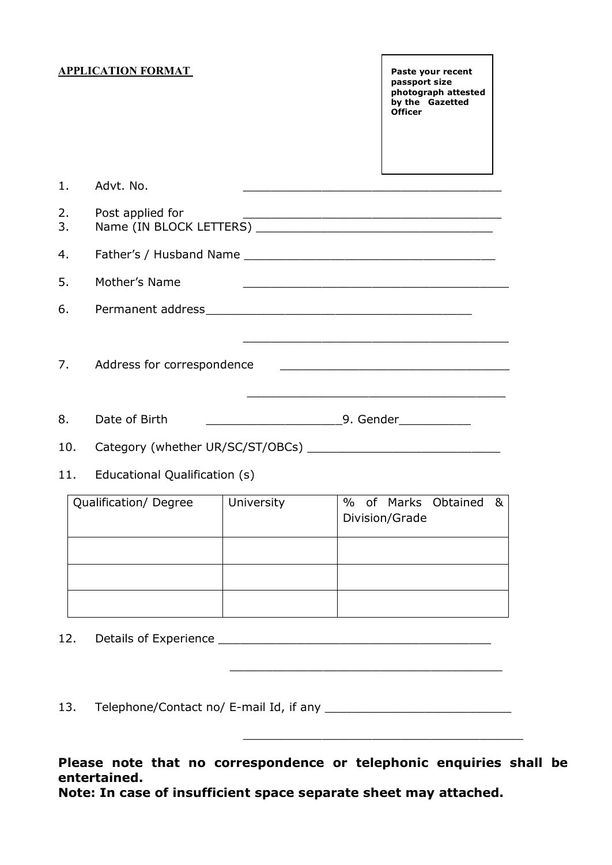#### **APPLICATION FORMAT Paste your recent**

**passport size photograph attested by the Gazetted Officer**

| 1.                    | Advt. No.                                                                                                                                                                                              |            | <u> 1989 - Johann John Harry, mars eta bat eta bat eta bat eta bat eta bat ez arteko harta zen bat erroman zen b</u> |  |  |  |  |
|-----------------------|--------------------------------------------------------------------------------------------------------------------------------------------------------------------------------------------------------|------------|----------------------------------------------------------------------------------------------------------------------|--|--|--|--|
| 2.<br>3.              | Post applied for<br><u> 1999 - Johann John Stone, mars and deutscher Stone († 1951)</u>                                                                                                                |            |                                                                                                                      |  |  |  |  |
| 4.                    |                                                                                                                                                                                                        |            |                                                                                                                      |  |  |  |  |
| 5.                    | Mother's Name                                                                                                                                                                                          |            |                                                                                                                      |  |  |  |  |
| 6.                    |                                                                                                                                                                                                        |            |                                                                                                                      |  |  |  |  |
| 7.                    | <u> 1999 - Johann Johann Stoff, deutscher Stoffen und der Stoffen und der Stoffen und der Stoffen und der Stoffen</u><br>Address for correspondence<br><u> 1980 - Johann John Stone, mars et al. (</u> |            |                                                                                                                      |  |  |  |  |
| 8.                    | Date of Birth                                                                                                                                                                                          |            |                                                                                                                      |  |  |  |  |
| 10.                   |                                                                                                                                                                                                        |            |                                                                                                                      |  |  |  |  |
| 11.                   | Educational Qualification (s)                                                                                                                                                                          |            |                                                                                                                      |  |  |  |  |
| Qualification/ Degree |                                                                                                                                                                                                        | University | of Marks Obtained<br>$\%$<br>&<br>Division/Grade                                                                     |  |  |  |  |
|                       |                                                                                                                                                                                                        |            |                                                                                                                      |  |  |  |  |
|                       |                                                                                                                                                                                                        |            |                                                                                                                      |  |  |  |  |
|                       |                                                                                                                                                                                                        |            |                                                                                                                      |  |  |  |  |
| 12.                   |                                                                                                                                                                                                        |            |                                                                                                                      |  |  |  |  |

13. Telephone/Contact no/ E-mail Id, if any \_\_\_\_\_\_\_\_\_\_\_\_\_\_\_\_\_\_\_\_\_\_\_\_\_\_

**Please note that no correspondence or telephonic enquiries shall be entertained.**

 $\mathcal{L}=\mathcal{L}=\mathcal{L}=\mathcal{L}=\mathcal{L}=\mathcal{L}=\mathcal{L}=\mathcal{L}=\mathcal{L}=\mathcal{L}=\mathcal{L}=\mathcal{L}=\mathcal{L}=\mathcal{L}=\mathcal{L}=\mathcal{L}=\mathcal{L}=\mathcal{L}=\mathcal{L}=\mathcal{L}=\mathcal{L}=\mathcal{L}=\mathcal{L}=\mathcal{L}=\mathcal{L}=\mathcal{L}=\mathcal{L}=\mathcal{L}=\mathcal{L}=\mathcal{L}=\mathcal{L}=\mathcal{L}=\mathcal{L}=\mathcal{L}=\mathcal{L}=\mathcal{L}=\mathcal{$ 

\_\_\_\_\_\_\_\_\_\_\_\_\_\_\_\_\_\_\_\_\_\_\_\_\_\_\_\_\_\_\_\_\_\_\_\_\_\_\_

**Note: In case of insufficient space separate sheet may attached.**